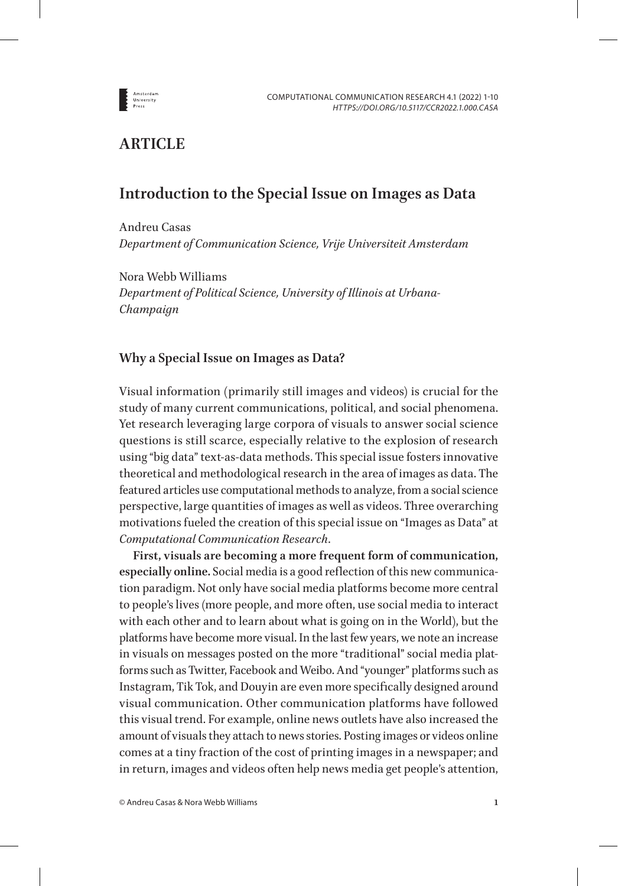

# **ARTICLE**

# **Introduction to the Special Issue on Images as Data**

Andreu Casas *Department of Communication Science, Vrije Universiteit Amsterdam*

Nora Webb Williams *Department of Political Science, University of Illinois at Urbana-Champaign*

# **Why a Special Issue on Images as Data?**

Visual information (primarily still images and videos) is crucial for the study of many current communications, political, and social phenomena. Yet research leveraging large corpora of visuals to answer social science questions is still scarce, especially relative to the explosion of research using "big data" text-as-data methods. This special issue fosters innovative theoretical and methodological research in the area of images as data. The featured articles use computational methods to analyze, from a social science perspective, large quantities of images as well as videos. Three overarching motivations fueled the creation of this special issue on "Images as Data" at *Computational Communication Research*.

**First, visuals are becoming a more frequent form of communication, especially online.** Social media is a good reflection of this new communication paradigm. Not only have social media platforms become more central to people's lives (more people, and more often, use social media to interact with each other and to learn about what is going on in the World), but the platforms have become more visual. In the last few years, we note an increase in visuals on messages posted on the more "traditional" social media platforms such as Twitter, Facebook and Weibo. And "younger" platforms such as Instagram, Tik Tok, and Douyin are even more specifically designed around visual communication. Other communication platforms have followed this visual trend. For example, online news outlets have also increased the amount of visuals they attach to news stories. Posting images or videos online comes at a tiny fraction of the cost of printing images in a newspaper; and in return, images and videos often help news media get people's attention,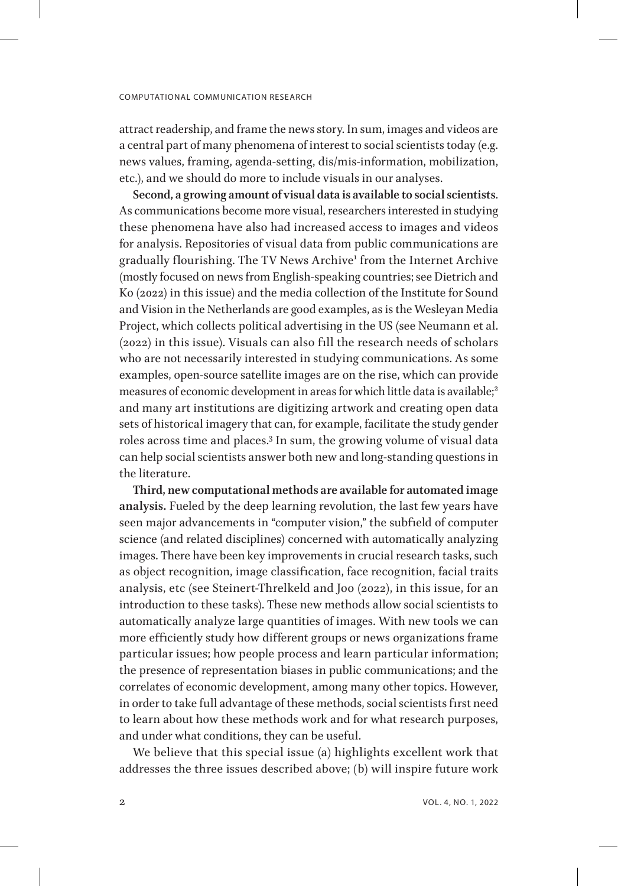attract readership, and frame the news story. In sum, images and videos are a central part of many phenomena of interest to social scientists today (e.g. news values, framing, agenda-setting, dis/mis-information, mobilization, etc.), and we should do more to include visuals in our analyses.

**Second, a growing amount of visual data is available to social scientists**. As communications become more visual, researchers interested in studying these phenomena have also had increased access to images and videos for analysis. Repositories of visual data from public communications are gradually flourishing. The TV News Archive<sup>[1](#page-7-0)</sup> from the Internet Archive (mostly focused on news from English-speaking countries; see Dietrich and Ko (2022) in this issue) and the media collection of the Institute for Sound and Vision in the Netherlands are good examples, as is the Wesleyan Media Project, which collects political advertising in the US (see Neumann et al. (2022) in this issue). Visuals can also fill the research needs of scholars who are not necessarily interested in studying communications. As some examples, open-source satellite images are on the rise, which can provide measures of economic development in areas for which little data is available;<sup>[2](#page-7-1)</sup> and many art institutions are digitizing artwork and creating open data sets of historical imagery that can, for example, facilitate the study gender roles across time and places[.3](#page-7-2) In sum, the growing volume of visual data can help social scientists answer both new and long-standing questions in the literature.

**Third, new computational methods are available for automated image analysis.** Fueled by the deep learning revolution, the last few years have seen major advancements in "computer vision," the subfield of computer science (and related disciplines) concerned with automatically analyzing images. There have been key improvements in crucial research tasks, such as object recognition, image classification, face recognition, facial traits analysis, etc (see Steinert-Threlkeld and Joo (2022), in this issue, for an introduction to these tasks). These new methods allow social scientists to automatically analyze large quantities of images. With new tools we can more efficiently study how different groups or news organizations frame particular issues; how people process and learn particular information; the presence of representation biases in public communications; and the correlates of economic development, among many other topics. However, in order to take full advantage of these methods, social scientists first need to learn about how these methods work and for what research purposes, and under what conditions, they can be useful.

We believe that this special issue (a) highlights excellent work that addresses the three issues described above; (b) will inspire future work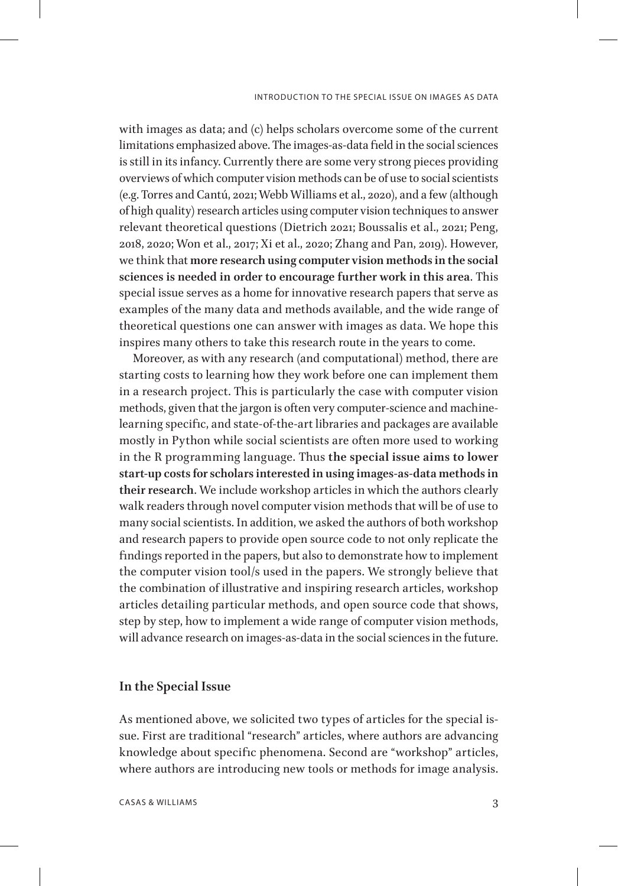with images as data; and (c) helps scholars overcome some of the current limitations emphasized above. The images-as-data field in the social sciences is still in its infancy. Currently there are some very strong pieces providing overviews of which computer vision methods can be of use to social scientists (e.g. Torres and Cantú, 2021; Webb Williams et al., 2020), and a few (although of high quality) research articles using computer vision techniques to answer relevant theoretical questions (Dietrich 2021; Boussalis et al., 2021; Peng, 2018, 2020; Won et al., 2017; Xi et al., 2020; Zhang and Pan, 2019). However, we think that **more research using computer vision methods in the social sciences is needed in order to encourage further work in this area**. This special issue serves as a home for innovative research papers that serve as examples of the many data and methods available, and the wide range of theoretical questions one can answer with images as data. We hope this inspires many others to take this research route in the years to come.

Moreover, as with any research (and computational) method, there are starting costs to learning how they work before one can implement them in a research project. This is particularly the case with computer vision methods, given that the jargon is often very computer-science and machinelearning specific, and state-of-the-art libraries and packages are available mostly in Python while social scientists are often more used to working in the R programming language. Thus **the special issue aims to lower start-up costs for scholars interested in using images-as-data methods in their research**. We include workshop articles in which the authors clearly walk readers through novel computer vision methods that will be of use to many social scientists. In addition, we asked the authors of both workshop and research papers to provide open source code to not only replicate the findings reported in the papers, but also to demonstrate how to implement the computer vision tool/s used in the papers. We strongly believe that the combination of illustrative and inspiring research articles, workshop articles detailing particular methods, and open source code that shows, step by step, how to implement a wide range of computer vision methods, will advance research on images-as-data in the social sciences in the future.

### **In the Special Issue**

As mentioned above, we solicited two types of articles for the special issue. First are traditional "research" articles, where authors are advancing knowledge about specific phenomena. Second are "workshop" articles, where authors are introducing new tools or methods for image analysis.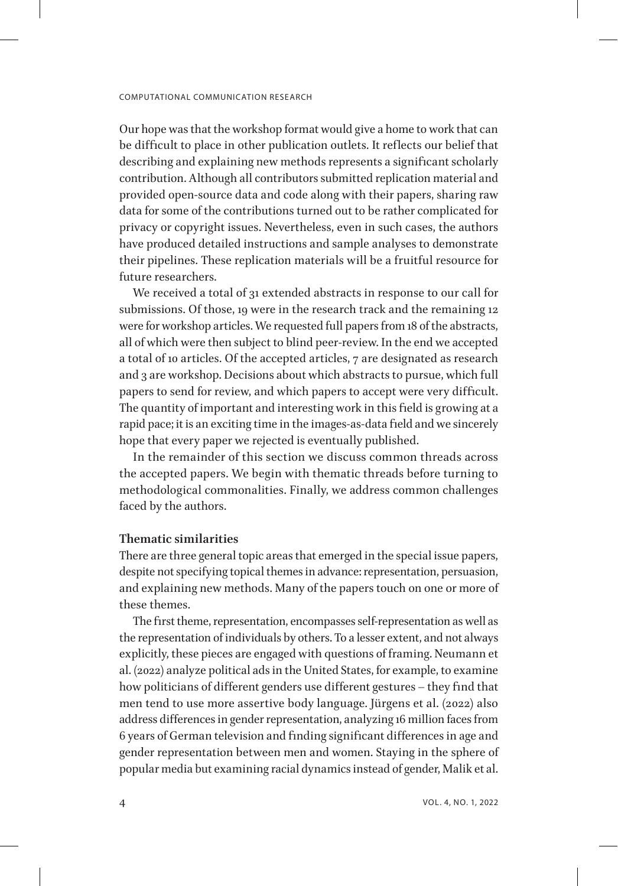Our hope was that the workshop format would give a home to work that can be difficult to place in other publication outlets. It reflects our belief that describing and explaining new methods represents a significant scholarly contribution. Although all contributors submitted replication material and provided open-source data and code along with their papers, sharing raw data for some of the contributions turned out to be rather complicated for privacy or copyright issues. Nevertheless, even in such cases, the authors have produced detailed instructions and sample analyses to demonstrate their pipelines. These replication materials will be a fruitful resource for future researchers.

We received a total of 31 extended abstracts in response to our call for submissions. Of those, 19 were in the research track and the remaining 12 were for workshop articles. We requested full papers from 18 of the abstracts, all of which were then subject to blind peer-review. In the end we accepted a total of 10 articles. Of the accepted articles, 7 are designated as research and 3 are workshop. Decisions about which abstracts to pursue, which full papers to send for review, and which papers to accept were very difficult. The quantity of important and interesting work in this field is growing at a rapid pace; it is an exciting time in the images-as-data field and we sincerely hope that every paper we rejected is eventually published.

In the remainder of this section we discuss common threads across the accepted papers. We begin with thematic threads before turning to methodological commonalities. Finally, we address common challenges faced by the authors.

### **Thematic similarities**

There are three general topic areas that emerged in the special issue papers, despite not specifying topical themes in advance: representation, persuasion, and explaining new methods. Many of the papers touch on one or more of these themes.

The first theme, representation, encompasses self-representation as well as the representation of individuals by others. To a lesser extent, and not always explicitly, these pieces are engaged with questions of framing. Neumann et al. (2022) analyze political ads in the United States, for example, to examine how politicians of different genders use different gestures – they find that men tend to use more assertive body language. Jürgens et al. (2022) also address differences in gender representation, analyzing 16 million faces from 6 years of German television and finding significant differences in age and gender representation between men and women. Staying in the sphere of popular media but examining racial dynamics instead of gender, Malik et al.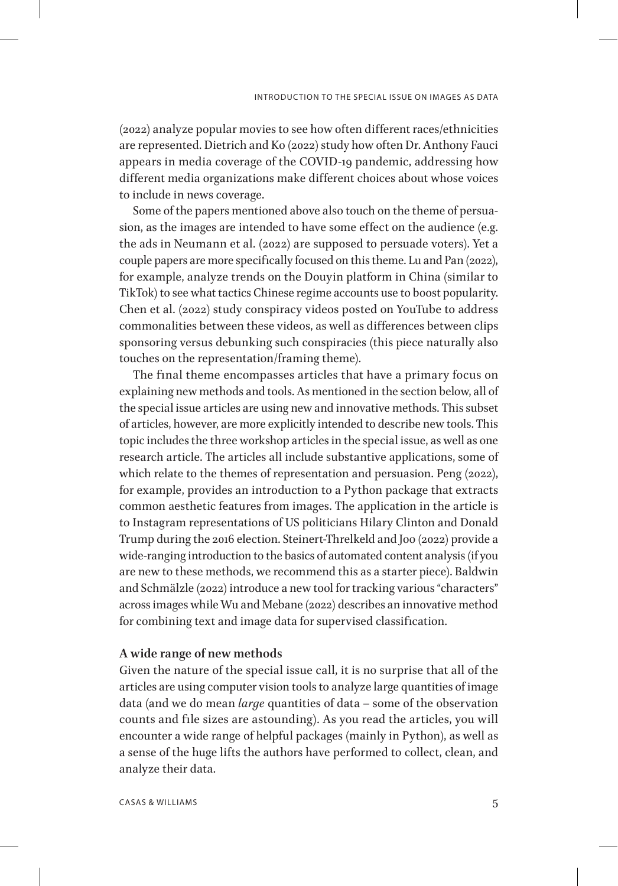(2022) analyze popular movies to see how often different races/ethnicities are represented. Dietrich and Ko (2022) study how often Dr. Anthony Fauci appears in media coverage of the COVID-19 pandemic, addressing how different media organizations make different choices about whose voices to include in news coverage.

Some of the papers mentioned above also touch on the theme of persuasion, as the images are intended to have some effect on the audience (e.g. the ads in Neumann et al. (2022) are supposed to persuade voters). Yet a couple papers are more specifically focused on this theme. Lu and Pan (2022), for example, analyze trends on the Douyin platform in China (similar to TikTok) to see what tactics Chinese regime accounts use to boost popularity. Chen et al. (2022) study conspiracy videos posted on YouTube to address commonalities between these videos, as well as differences between clips sponsoring versus debunking such conspiracies (this piece naturally also touches on the representation/framing theme).

The final theme encompasses articles that have a primary focus on explaining new methods and tools. As mentioned in the section below, all of the special issue articles are using new and innovative methods. This subset of articles, however, are more explicitly intended to describe new tools. This topic includes the three workshop articles in the special issue, as well as one research article. The articles all include substantive applications, some of which relate to the themes of representation and persuasion. Peng (2022), for example, provides an introduction to a Python package that extracts common aesthetic features from images. The application in the article is to Instagram representations of US politicians Hilary Clinton and Donald Trump during the 2016 election. Steinert-Threlkeld and Joo (2022) provide a wide-ranging introduction to the basics of automated content analysis (if you are new to these methods, we recommend this as a starter piece). Baldwin and Schmälzle (2022) introduce a new tool for tracking various "characters" across images while Wu and Mebane (2022) describes an innovative method for combining text and image data for supervised classification.

### **A wide range of new methods**

Given the nature of the special issue call, it is no surprise that all of the articles are using computer vision tools to analyze large quantities of image data (and we do mean *large* quantities of data – some of the observation counts and file sizes are astounding). As you read the articles, you will encounter a wide range of helpful packages (mainly in Python), as well as a sense of the huge lifts the authors have performed to collect, clean, and analyze their data.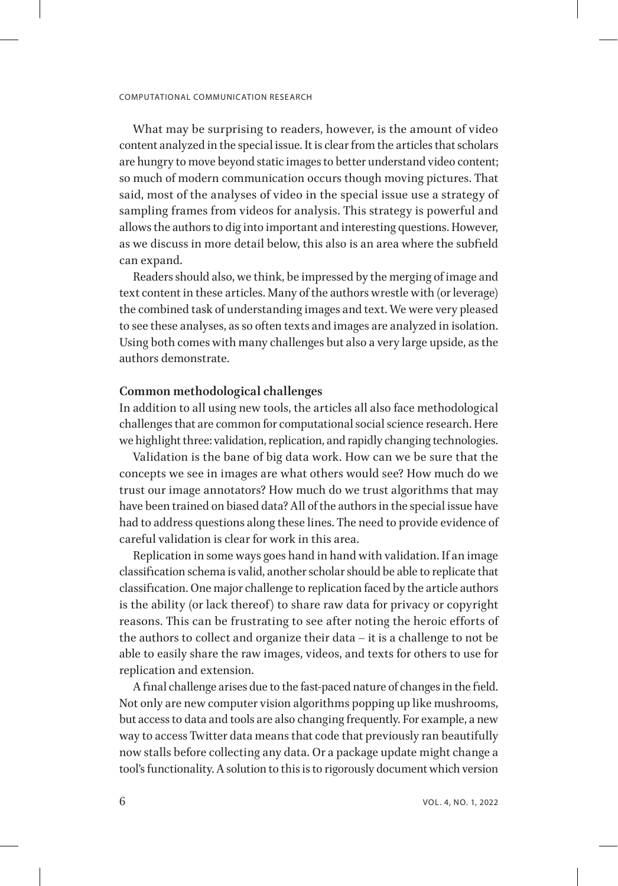What may be surprising to readers, however, is the amount of video content analyzed in the special issue. It is clear from the articles that scholars are hungry to move beyond static images to better understand video content; so much of modern communication occurs though moving pictures. That said, most of the analyses of video in the special issue use a strategy of sampling frames from videos for analysis. This strategy is powerful and allows the authors to dig into important and interesting questions. However, as we discuss in more detail below, this also is an area where the subfield can expand.

Readers should also, we think, be impressed by the merging of image and text content in these articles. Many of the authors wrestle with (or leverage) the combined task of understanding images and text. We were very pleased to see these analyses, as so often texts and images are analyzed in isolation. Using both comes with many challenges but also a very large upside, as the authors demonstrate.

### **Common methodological challenges**

In addition to all using new tools, the articles all also face methodological challenges that are common for computational social science research. Here we highlight three: validation, replication, and rapidly changing technologies.

Validation is the bane of big data work. How can we be sure that the concepts we see in images are what others would see? How much do we trust our image annotators? How much do we trust algorithms that may have been trained on biased data? All of the authors in the special issue have had to address questions along these lines. The need to provide evidence of careful validation is clear for work in this area.

Replication in some ways goes hand in hand with validation. If an image classification schema is valid, another scholar should be able to replicate that classification. One major challenge to replication faced by the article authors is the ability (or lack thereof) to share raw data for privacy or copyright reasons. This can be frustrating to see after noting the heroic efforts of the authors to collect and organize their data – it is a challenge to not be able to easily share the raw images, videos, and texts for others to use for replication and extension.

A final challenge arises due to the fast-paced nature of changes in the field. Not only are new computer vision algorithms popping up like mushrooms, but access to data and tools are also changing frequently. For example, a new way to access Twitter data means that code that previously ran beautifully now stalls before collecting any data. Or a package update might change a tool's functionality. A solution to this is to rigorously document which version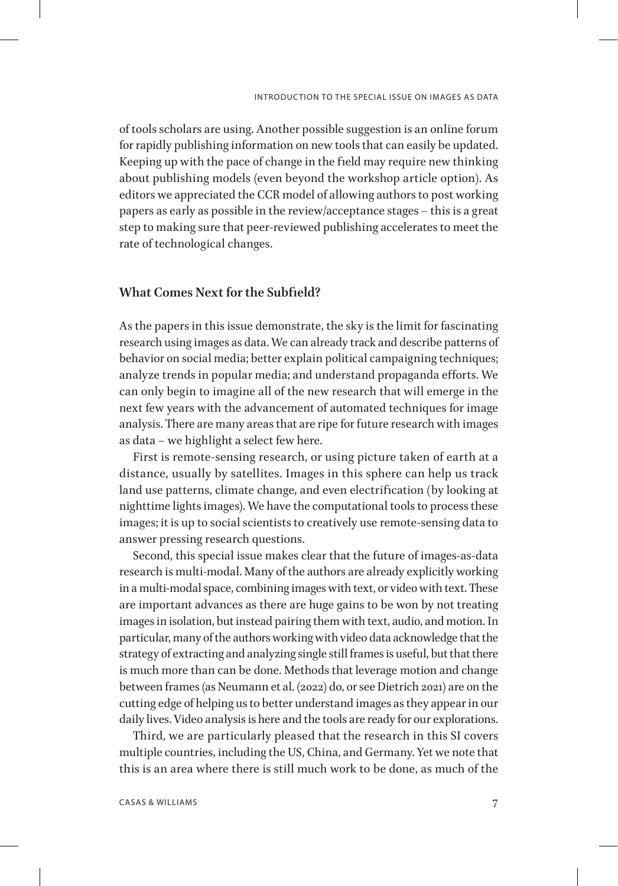of tools scholars are using. Another possible suggestion is an online forum for rapidly publishing information on new tools that can easily be updated. Keeping up with the pace of change in the field may require new thinking about publishing models (even beyond the workshop article option). As editors we appreciated the CCR model of allowing authors to post working papers as early as possible in the review/acceptance stages – this is a great step to making sure that peer-reviewed publishing accelerates to meet the rate of technological changes.

# **What Comes Next for the Subfield?**

As the papers in this issue demonstrate, the sky is the limit for fascinating research using images as data. We can already track and describe patterns of behavior on social media; better explain political campaigning techniques; analyze trends in popular media; and understand propaganda efforts. We can only begin to imagine all of the new research that will emerge in the next few years with the advancement of automated techniques for image analysis. There are many areas that are ripe for future research with images as data – we highlight a select few here.

First is remote-sensing research, or using picture taken of earth at a distance, usually by satellites. Images in this sphere can help us track land use patterns, climate change, and even electrification (by looking at nighttime lights images). We have the computational tools to process these images; it is up to social scientists to creatively use remote-sensing data to answer pressing research questions.

Second, this special issue makes clear that the future of images-as-data research is multi-modal. Many of the authors are already explicitly working in a multi-modal space, combining images with text, or video with text. These are important advances as there are huge gains to be won by not treating images in isolation, but instead pairing them with text, audio, and motion. In particular, many of the authors working with video data acknowledge that the strategy of extracting and analyzing single still frames is useful, but that there is much more than can be done. Methods that leverage motion and change between frames (as Neumann et al. (2022) do, or see Dietrich 2021) are on the cutting edge of helping us to better understand images as they appear in our daily lives. Video analysis is here and the tools are ready for our explorations.

Third, we are particularly pleased that the research in this SI covers multiple countries, including the US, China, and Germany. Yet we note that this is an area where there is still much work to be done, as much of the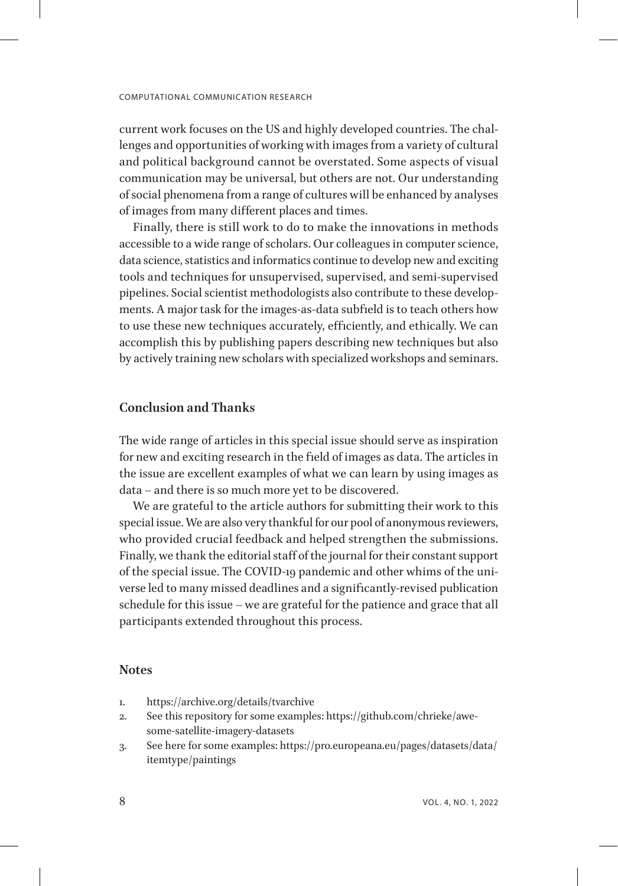current work focuses on the US and highly developed countries. The challenges and opportunities of working with images from a variety of cultural and political background cannot be overstated. Some aspects of visual communication may be universal, but others are not. Our understanding of social phenomena from a range of cultures will be enhanced by analyses of images from many different places and times.

Finally, there is still work to do to make the innovations in methods accessible to a wide range of scholars. Our colleagues in computer science, data science, statistics and informatics continue to develop new and exciting tools and techniques for unsupervised, supervised, and semi-supervised pipelines. Social scientist methodologists also contribute to these developments. A major task for the images-as-data subfield is to teach others how to use these new techniques accurately, efficiently, and ethically. We can accomplish this by publishing papers describing new techniques but also by actively training new scholars with specialized workshops and seminars.

# **Conclusion and Thanks**

The wide range of articles in this special issue should serve as inspiration for new and exciting research in the field of images as data. The articles in the issue are excellent examples of what we can learn by using images as data – and there is so much more yet to be discovered.

We are grateful to the article authors for submitting their work to this special issue. We are also very thankful for our pool of anonymous reviewers, who provided crucial feedback and helped strengthen the submissions. Finally, we thank the editorial staff of the journal for their constant support of the special issue. The COVID-19 pandemic and other whims of the universe led to many missed deadlines and a significantly-revised publication schedule for this issue – we are grateful for the patience and grace that all participants extended throughout this process.

### **Notes**

- <span id="page-7-0"></span>1. https://archive.org/details/tvarchive
- <span id="page-7-1"></span>2. See this repository for some examples: https://github.com/chrieke/awesome-satellite-imagery-datasets
- <span id="page-7-2"></span>3. See here for some examples: https://pro.europeana.eu/pages/datasets/data/ itemtype/paintings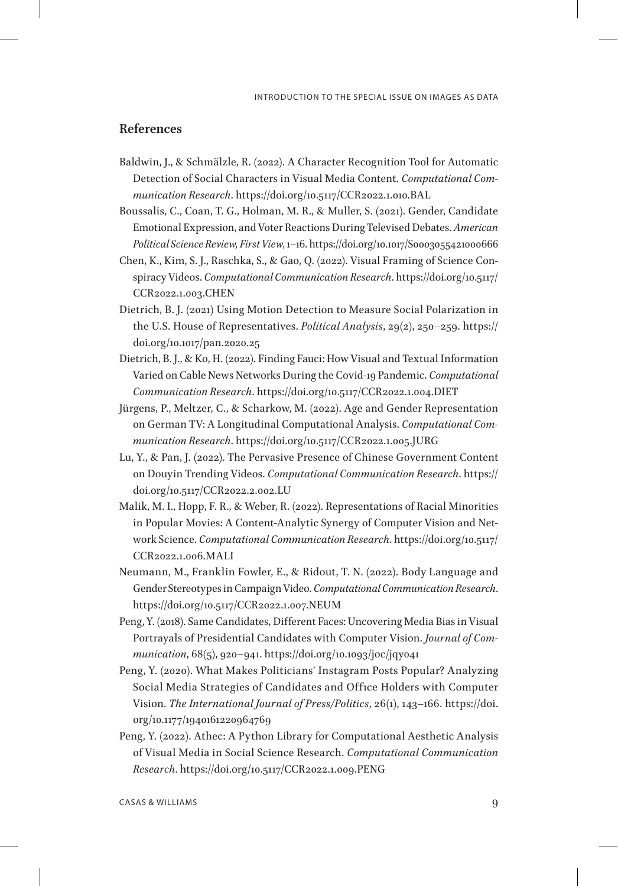# **References**

- Baldwin, J., & Schmälzle, R. (2022). A Character Recognition Tool for Automatic Detection of Social Characters in Visual Media Content. *Computational Communication Research*. https://doi.org/10.5117/CCR2022.1.010.BAL
- Boussalis, C., Coan, T. G., Holman, M. R., & Muller, S. (2021). Gender, Candidate Emotional Expression, and Voter Reactions During Televised Debates. *American Political Science Review, First View*, 1–16. https://doi.org/10.1017/S0003055421000666
- Chen, K., Kim, S. J., Raschka, S., & Gao, Q. (2022). Visual Framing of Science Conspiracy Videos. *Computational Communication Research*. https://doi.org/10.5117/ CCR2022.1.003.CHEN
- Dietrich, B. J. (2021) Using Motion Detection to Measure Social Polarization in the U.S. House of Representatives. *Political Analysis*, 29(2), 250–259. https:// doi.org/10.1017/pan.2020.25
- Dietrich, B. J., & Ko, H. (2022). Finding Fauci: How Visual and Textual Information Varied on Cable News Networks During the Covid-19 Pandemic. *Computational Communication Research*. https://doi.org/10.5117/CCR2022.1.004.DIET
- Jürgens, P., Meltzer, C., & Scharkow, M. (2022). Age and Gender Representation on German TV: A Longitudinal Computational Analysis. *Computational Communication Research*. https://doi.org/10.5117/CCR2022.1.005.JURG
- Lu, Y., & Pan, J. (2022). The Pervasive Presence of Chinese Government Content on Douyin Trending Videos. *Computational Communication Research*. https:// doi.org/10.5117/CCR2022.2.002.LU
- Malik, M. I., Hopp, F. R., & Weber, R. (2022). Representations of Racial Minorities in Popular Movies: A Content-Analytic Synergy of Computer Vision and Network Science. *Computational Communication Research*. https://doi.org/10.5117/ CCR2022.1.006.MALI
- Neumann, M., Franklin Fowler, E., & Ridout, T. N. (2022). Body Language and Gender Stereotypes in Campaign Video. *Computational Communication Research*. https://doi.org/10.5117/CCR2022.1.007.NEUM
- Peng, Y. (2018). Same Candidates, Different Faces: Uncovering Media Bias in Visual Portrayals of Presidential Candidates with Computer Vision. *Journal of Communication*, 68(5), 920–941. https://doi.org/10.1093/joc/jqy041
- Peng, Y. (2020). What Makes Politicians' Instagram Posts Popular? Analyzing Social Media Strategies of Candidates and Office Holders with Computer Vision. *The International Journal of Press/Politics*, 26(1), 143–166. https://doi. org/10.1177/1940161220964769
- Peng, Y. (2022). Athec: A Python Library for Computational Aesthetic Analysis of Visual Media in Social Science Research. *Computational Communication Research*. https://doi.org/10.5117/CCR2022.1.009.PENG

CASAS & WILLIAMS 9